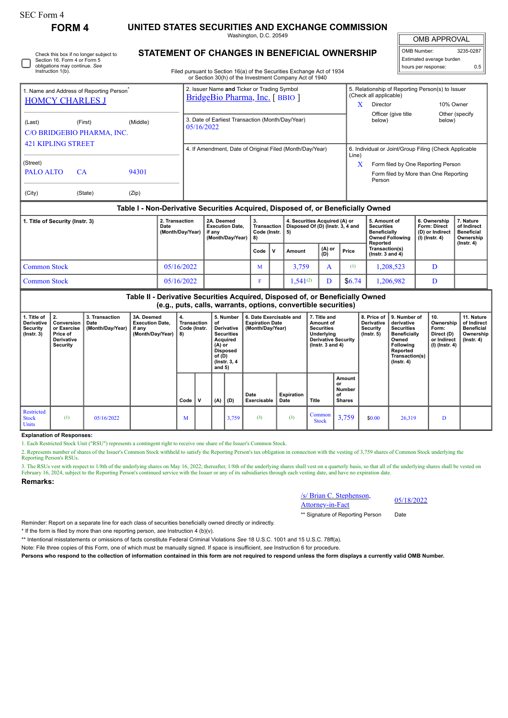# SEC Form 4

**FORM 4 UNITED STATES SECURITIES AND EXCHANGE COMMISSION** Washington, D.C. 20549

OMB APPROVAL

| OMB Number:              | 3235-0287 |  |  |  |  |  |  |
|--------------------------|-----------|--|--|--|--|--|--|
| Estimated average burden |           |  |  |  |  |  |  |
| hours per response:      | 0.5       |  |  |  |  |  |  |

Check this box if no longer subject to Section 16. Form 4 or Form 5 obligations may continue. *See* Instruction 1(b).

## **STATEMENT OF CHANGES IN BENEFICIAL OWNERSHIP**

Filed pursuant to Section 16(a) of the Securities Exchange Act of 1934 or Section 30(h) of the Investment Company Act of 1940

| <b>HOMCY CHARLES J</b>                                                           | 1. Name and Address of Reporting Person <sup>®</sup> |          | 2. Issuer Name and Ticker or Trading Symbol<br>BridgeBio Pharma, Inc. [BBIO] |                                                                | 5. Relationship of Reporting Person(s) to Issuer<br>(Check all applicable)<br>10% Owner<br>Director |                           |  |  |  |  |
|----------------------------------------------------------------------------------|------------------------------------------------------|----------|------------------------------------------------------------------------------|----------------------------------------------------------------|-----------------------------------------------------------------------------------------------------|---------------------------|--|--|--|--|
| (Last)                                                                           | (First)<br>C/O BRIDGEBIO PHARMA, INC.                | (Middle) | 3. Date of Earliest Transaction (Month/Day/Year)<br>05/16/2022               |                                                                | Officer (give title<br>below)                                                                       | Other (specify)<br>below) |  |  |  |  |
| <b>421 KIPLING STREET</b>                                                        |                                                      |          | 4. If Amendment, Date of Original Filed (Month/Day/Year)                     | 6. Individual or Joint/Group Filing (Check Applicable<br>Line) |                                                                                                     |                           |  |  |  |  |
| (Street)<br>PALO ALTO                                                            | CA.                                                  | 94301    |                                                                              | x                                                              | Form filed by One Reporting Person<br>Form filed by More than One Reporting<br>Person               |                           |  |  |  |  |
| (City)                                                                           | (State)                                              | (Zip)    |                                                                              |                                                                |                                                                                                     |                           |  |  |  |  |
| Table I - Non-Derivative Securities Acquired, Disposed of, or Beneficially Owned |                                                      |          |                                                                              |                                                                |                                                                                                     |                           |  |  |  |  |

| 1. Title of Security (Instr. 3) | . Transaction<br>Date<br>(Month/Day/Year) | 2A. Deemed<br><b>Execution Date,</b><br>if anv<br>(Month/Dav/Year) | з.<br>Transaction I<br>  8) |    | 4. Securities Acquired (A) or<br>Disposed Of (D) (Instr. 3, 4 and<br>Code (Instr.   5) |               |        | 5. Amount of<br><b>Securities</b><br><b>Beneficially</b><br><b>Owned Following</b><br>Reported | 6. Ownership<br><b>Form: Direct</b><br>(D) or Indirect<br>(I) (Instr. 4) | 7. Nature<br>of Indirect<br><b>Beneficial</b><br>Ownership<br>$($ lnstr. 4 $)$ |
|---------------------------------|-------------------------------------------|--------------------------------------------------------------------|-----------------------------|----|----------------------------------------------------------------------------------------|---------------|--------|------------------------------------------------------------------------------------------------|--------------------------------------------------------------------------|--------------------------------------------------------------------------------|
|                                 |                                           |                                                                    | Code                        | ۱v | Amount                                                                                 | (A) or<br>(D) | Price  | Transaction(s)<br>$($ lnstr. 3 and 4 $)$                                                       |                                                                          |                                                                                |
| Common Stock                    | 05/16/2022                                |                                                                    | M                           |    | 3,759                                                                                  |               | (1)    | 1,208,523                                                                                      |                                                                          |                                                                                |
| Common Stock                    | 05/16/2022                                |                                                                    |                             |    | $1.541^{(2)}$                                                                          |               | \$6.74 | 1,206,982                                                                                      | D                                                                        |                                                                                |

### **Table II - Derivative Securities Acquired, Disposed of, or Beneficially Owned (e.g., puts, calls, warrants, options, convertible securities)**

| 1. Title of<br><b>Derivative</b><br>Security<br>$($ lnstr. 3 $)$ | 2.<br>Conversion<br>or Exercise<br>Price of<br>Derivative<br>Security | 3. Transaction<br>Date<br>(Month/Day/Year) | 3A. Deemed<br><b>Execution Date.</b><br>if any<br>(Month/Day/Year) $  8$ ) | 4.<br><b>Transaction</b><br>Code (Instr. |             | of<br>$(A)$ or<br>of (D)<br>and $5)$ | 5. Number<br>6. Date Exercisable and<br><b>Expiration Date</b><br>Derivative<br>(Month/Day/Year)<br><b>Securities</b><br>Acquired<br><b>Disposed</b><br>(Instr. 3, 4) |                     |                    | 7. Title and<br>Amount of<br><b>Securities</b><br>Underlying<br><b>Derivative Security</b><br>( $lnstr. 3 and 4$ ) |                                               | 8. Price of<br><b>Derivative</b><br>Security<br>$($ lnstr. 5 $)$ | 9. Number of<br>derivative<br><b>Securities</b><br>Beneficially<br>Owned<br><b>Following</b><br>Reported<br>Transaction(s)<br>$($ Instr. 4 $)$ | 10.<br>Ownership<br>Form:<br>Direct (D)<br>or Indirect<br>(I) (Instr. 4) | 11. Nature<br>of Indirect<br><b>Beneficial</b><br>Ownership<br>(Instr. 4) |
|------------------------------------------------------------------|-----------------------------------------------------------------------|--------------------------------------------|----------------------------------------------------------------------------|------------------------------------------|-------------|--------------------------------------|-----------------------------------------------------------------------------------------------------------------------------------------------------------------------|---------------------|--------------------|--------------------------------------------------------------------------------------------------------------------|-----------------------------------------------|------------------------------------------------------------------|------------------------------------------------------------------------------------------------------------------------------------------------|--------------------------------------------------------------------------|---------------------------------------------------------------------------|
|                                                                  |                                                                       |                                            |                                                                            | Code                                     | $\mathbf v$ | (A)                                  | (D)                                                                                                                                                                   | Date<br>Exercisable | Expiration<br>Date | Title                                                                                                              | Amount<br>or<br>Number<br>of<br><b>Shares</b> |                                                                  |                                                                                                                                                |                                                                          |                                                                           |
| <b>Restricted</b><br><b>Stock</b><br><b>Units</b>                | (1)                                                                   | 05/16/2022                                 |                                                                            | М                                        |             |                                      | 3,759                                                                                                                                                                 | (3)                 | (3)                | Common<br><b>Stock</b>                                                                                             | 3,759                                         | \$0.00                                                           | 26,319                                                                                                                                         | D                                                                        |                                                                           |

## **Explanation of Responses:**

1. Each Restricted Stock Unit ("RSU") represents a contingent right to receive one share of the Issuer's Common Stock.

2. Represents number of shares of the Issuer's Common Stock withheld to satisfy the Reporting Person's tax obligation in connection with the vesting of 3,759 shares of Common Stock underlying the Reporting Person's RSUs.

3. The RSUs vest with respect to 1/8th of the underlying shares on May 16, 2022; thereafter, 1/8th of the underlying shares shall vest on a quarterly basis, so that all of the underlying shares shall be vested on February 16, 2024, subject to the Reporting Person's continued service with the Issuer or any of its subsidiaries through each vesting date, and have no expiration date

#### **Remarks:**

/s/ Brian C. Stephenson, <u>S/Brian C. Stephenson, 05/18/2022</u><br>Attorney-in-Fact

\*\* Signature of Reporting Person Date

Reminder: Report on a separate line for each class of securities beneficially owned directly or indirectly.

\* If the form is filed by more than one reporting person, *see* Instruction 4 (b)(v).

\*\* Intentional misstatements or omissions of facts constitute Federal Criminal Violations *See* 18 U.S.C. 1001 and 15 U.S.C. 78ff(a).

Note: File three copies of this Form, one of which must be manually signed. If space is insufficient, *see* Instruction 6 for procedure.

**Persons who respond to the collection of information contained in this form are not required to respond unless the form displays a currently valid OMB Number.**